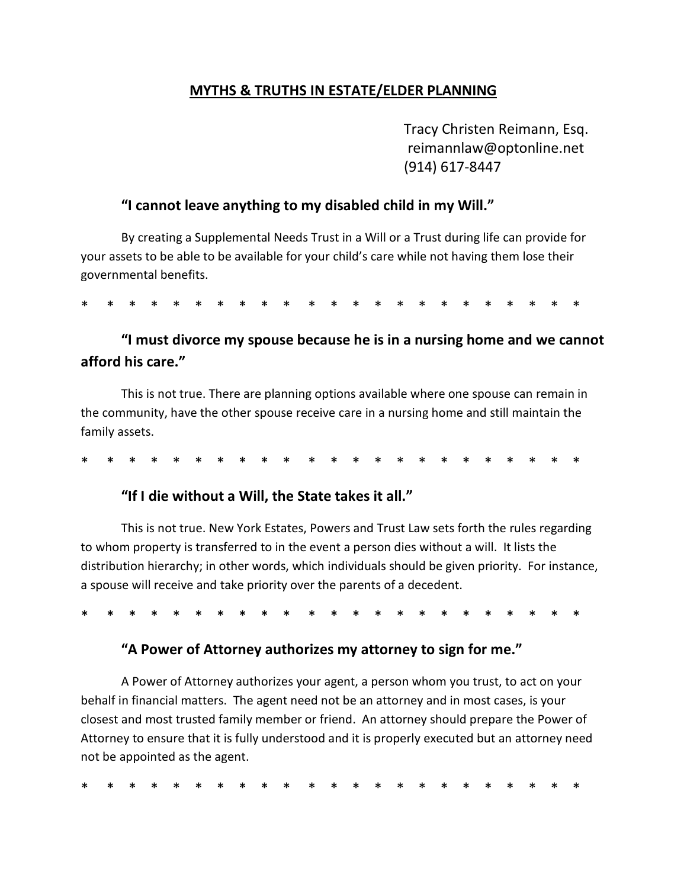## **MYTHS & TRUTHS IN ESTATE/ELDER PLANNING**

Tracy Christen Reimann, Esq. reimannlaw@optonline.net (914) 617-8447

### **"I cannot leave anything to my disabled child in my Will."**

By creating a Supplemental Needs Trust in a Will or a Trust during life can provide for your assets to be able to be available for your child's care while not having them lose their governmental benefits.

\* \* \* \* \* \* \* \* \* \* \* \* \* \* \* \* \* \* \* \* \* \* \*

# **"I must divorce my spouse because he is in a nursing home and we cannot afford his care."**

This is not true. There are planning options available where one spouse can remain in the community, have the other spouse receive care in a nursing home and still maintain the family assets.

\* \* \* \* \* \* \* \* \* \* \* \* \* \* \* \* \* \* \* \* \* \* \*

### **"If I die without a Will, the State takes it all."**

This is not true. New York Estates, Powers and Trust Law sets forth the rules regarding to whom property is transferred to in the event a person dies without a will. It lists the distribution hierarchy; in other words, which individuals should be given priority. For instance, a spouse will receive and take priority over the parents of a decedent.

\* \* \* \* \* \* \* \* \* \* \* \* \* \* \* \* \* \* \* \* \* \* \*

#### **"A Power of Attorney authorizes my attorney to sign for me."**

A Power of Attorney authorizes your agent, a person whom you trust, to act on your behalf in financial matters. The agent need not be an attorney and in most cases, is your closest and most trusted family member or friend. An attorney should prepare the Power of Attorney to ensure that it is fully understood and it is properly executed but an attorney need not be appointed as the agent.